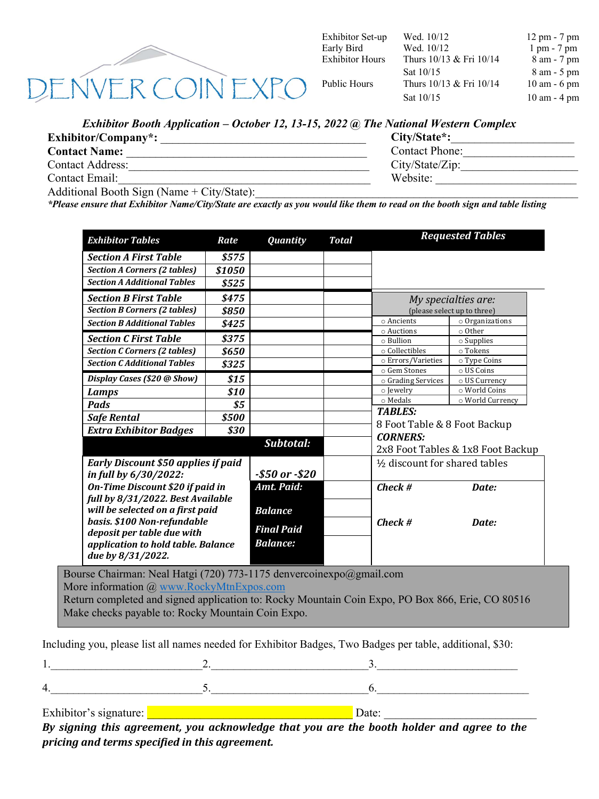

Exhibitor Set-up Early Bird

Wed. 10/12 Wed. 10/12 12 pm - 7 pm 1 pm - 7 pm Exhibitor Hours Thurs  $10/13$  & Fri  $10/14$  8 am - 7 pm Sat  $10/15$  8 am - 5 pm Public Hours Thurs 10/13 & Fri 10/14 10 am - 6 pm Sat  $10/15$  10 am - 4 pm

## *Exhibitor Booth Application – October 12, 13-15, 2022 @ The National Western Complex*

| $Exhibitor/ Company^*$ :                            | City/State*:          |  |  |
|-----------------------------------------------------|-----------------------|--|--|
| <b>Contact Name:</b>                                | <b>Contact Phone:</b> |  |  |
| <b>Contact Address:</b>                             | City/State/Zip:       |  |  |
| Contact Email:                                      | Website:              |  |  |
| $\Lambda$ dditional Booth Sign (Name + City/State). |                       |  |  |

Additional Booth Sign (Name  $+$  City/State):

*\*Please ensure that Exhibitor Name/City/State are exactly as you would like them to read on the booth sign and table listing*

| <b>Section A First Table</b><br><b>Section A Corners (2 tables)</b><br><b>Section A Additional Tables</b><br><b>Section B First Table</b><br><b>Section B Corners (2 tables)</b><br><b>Section B Additional Tables</b> | \$575<br>\$1050<br>\$525 |                                |  |                              |                                   |  |
|------------------------------------------------------------------------------------------------------------------------------------------------------------------------------------------------------------------------|--------------------------|--------------------------------|--|------------------------------|-----------------------------------|--|
|                                                                                                                                                                                                                        |                          |                                |  |                              |                                   |  |
|                                                                                                                                                                                                                        |                          |                                |  |                              |                                   |  |
|                                                                                                                                                                                                                        |                          |                                |  |                              |                                   |  |
|                                                                                                                                                                                                                        | \$475                    |                                |  | My specialties are:          |                                   |  |
|                                                                                                                                                                                                                        | \$850                    |                                |  | (please select up to three)  |                                   |  |
|                                                                                                                                                                                                                        | \$425                    |                                |  | o Ancients                   | $\circ$ Organizations             |  |
|                                                                                                                                                                                                                        |                          |                                |  | o Auctions                   | ○ Other                           |  |
| <b>Section C First Table</b>                                                                                                                                                                                           | \$375                    |                                |  | o Bullion                    | $\circ$ Supplies                  |  |
| <b>Section C Corners (2 tables)</b>                                                                                                                                                                                    | \$650                    |                                |  | o Collectibles               | o Tokens                          |  |
| <b>Section C Additional Tables</b>                                                                                                                                                                                     | \$325                    |                                |  | o Errors/Varieties           | o Type Coins                      |  |
| Display Cases (\$20 @ Show)                                                                                                                                                                                            |                          |                                |  | o Gem Stones                 | o US Coins                        |  |
|                                                                                                                                                                                                                        | \$15                     |                                |  | o Grading Services           | o US Currency                     |  |
| Lamps                                                                                                                                                                                                                  | \$10                     |                                |  | o Jewelry<br>o Medals        | o World Coins                     |  |
| Pads                                                                                                                                                                                                                   | \$5                      |                                |  |                              | o World Currency                  |  |
| <b>Safe Rental</b>                                                                                                                                                                                                     | \$500                    |                                |  | <b>TABLES:</b>               |                                   |  |
| <b>Extra Exhibitor Badges</b>                                                                                                                                                                                          | \$30                     |                                |  | 8 Foot Table & 8 Foot Backup |                                   |  |
|                                                                                                                                                                                                                        |                          | Subtotal:                      |  | <b>CORNERS:</b>              | 2x8 Foot Tables & 1x8 Foot Backup |  |
| <b>Early Discount \$50 applies if paid</b>                                                                                                                                                                             |                          | 1/2 discount for shared tables |  |                              |                                   |  |
| in full by 6/30/2022:                                                                                                                                                                                                  |                          | $-$50 or -$20$                 |  |                              |                                   |  |
| <b>On-Time Discount \$20 if paid in</b>                                                                                                                                                                                |                          | Amt. Paid:                     |  | $Check$ #                    | Date:                             |  |
| full by 8/31/2022. Best Available                                                                                                                                                                                      |                          |                                |  |                              |                                   |  |
| will be selected on a first paid<br>basis. \$100 Non-refundable                                                                                                                                                        |                          | <b>Balance</b>                 |  | $Check$ #<br>Date:           |                                   |  |
|                                                                                                                                                                                                                        |                          | <b>Final Paid</b>              |  |                              |                                   |  |
| deposit per table due with                                                                                                                                                                                             |                          | <b>Balance:</b>                |  |                              |                                   |  |
| application to hold table. Balance<br>due by 8/31/2022.                                                                                                                                                                |                          |                                |  |                              |                                   |  |

Bourse Chairman: Neal Hatgi (720) 773-1175 denvercoinexpo@gmail.com More information @ www.RockyMtnExpos.com Return completed and signed application to: Rocky Mountain Coin Expo, PO Box 866, Erie, CO 80516 Make checks payable to: Rocky Mountain Coin Expo.

Including you, please list all names needed for Exhibitor Badges, Two Badges per table, additional, \$30:

| Exhibitor's signature: | Date:                                                                                      |  |
|------------------------|--------------------------------------------------------------------------------------------|--|
|                        | Dy gianing this ganoomant, you galvoupledge that you are the heath holder and gance to the |  |

*By* signing this agreement, you acknowledge that you are the booth holder and agree to the *pricing and terms specified in this agreement.*